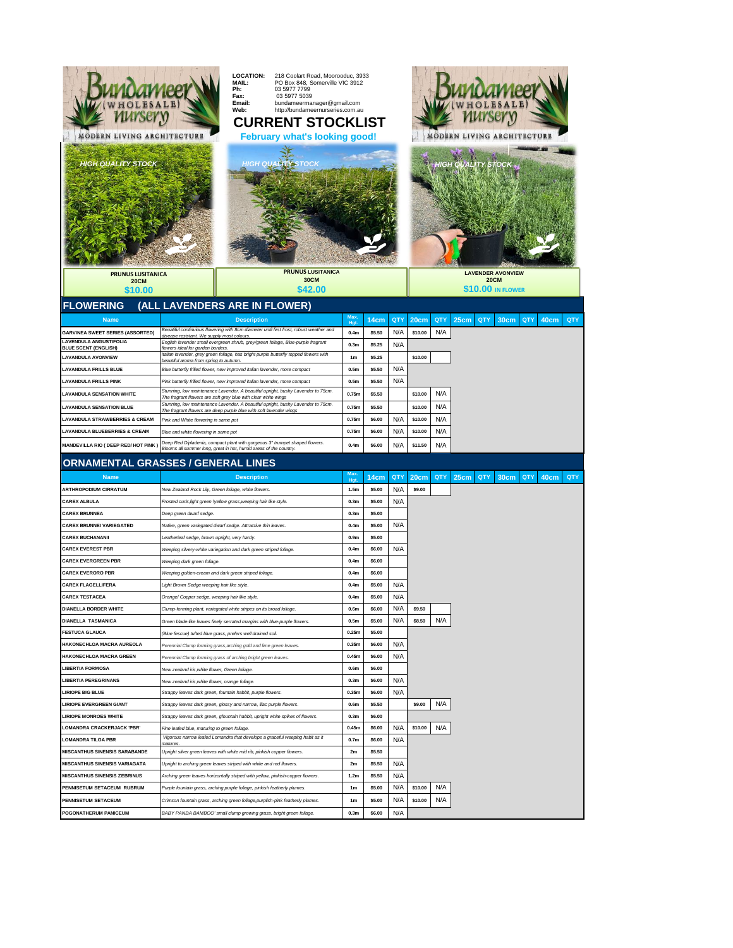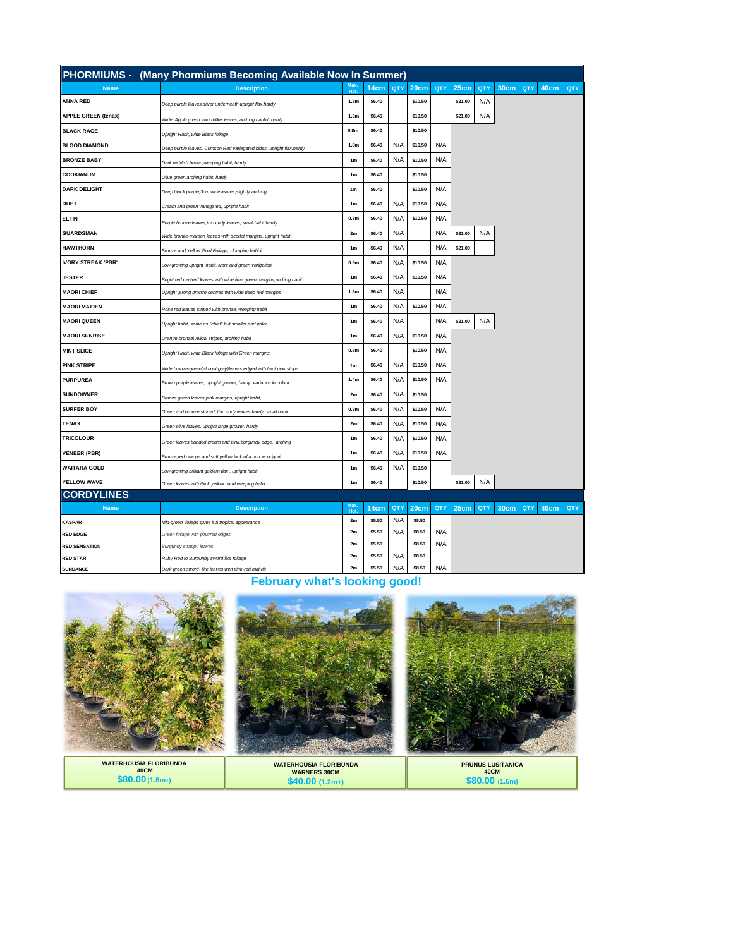|                            | PHORMIUMS - (Many Phormiums Becoming Available Now In Summer)         |                  |        |     |         |     |         |     |      |     |      |     |
|----------------------------|-----------------------------------------------------------------------|------------------|--------|-----|---------|-----|---------|-----|------|-----|------|-----|
| <b>Name</b>                | <b>Description</b>                                                    | $H\alpha$        | 14cm   | QTY | 20cm    | QTY | 25cm    | QTY | 30cm | QTY | 40cm | QTY |
| <b>ANNA RED</b>            | Deep purple leaves, silver underneath upright flax, hardy             | 1.8 <sub>m</sub> | \$6.40 |     | \$10.50 |     | \$21.00 | N/A |      |     |      |     |
| <b>APPLE GREEN (tenax)</b> | Wide, Apple green sword-like leaves, arching habbit, hardy            | 1.3 <sub>m</sub> | \$6.40 |     | \$10.50 |     | \$21.00 | N/A |      |     |      |     |
| <b>BLACK RAGE</b>          | Upright Habit, wide Black foliage                                     | 0.8 <sub>m</sub> | \$6.40 |     | \$10.50 |     |         |     |      |     |      |     |
| <b>BLOOD DIAMOND</b>       | Deep purple leaves, Crimson Red variegated sides, upright flax,hardy  | 1.8 <sub>m</sub> | \$6.40 | N/A | \$10.50 | N/A |         |     |      |     |      |     |
| <b>BRONZE BABY</b>         | Dark reddish brown, weeping habit, hardy                              | 1 <sub>m</sub>   | \$6.40 | N/A | \$10.50 | N/A |         |     |      |     |      |     |
| <b>COOKIANUM</b>           | Olive green, arching habit, hardy                                     | 1 <sub>m</sub>   | \$6.40 |     | \$10.50 |     |         |     |      |     |      |     |
| <b>DARK DELIGHT</b>        | Deep black purple, 3cm wide leaves, slightly arching                  | 1 <sub>m</sub>   | \$6.40 |     | \$10.50 | N/A |         |     |      |     |      |     |
| <b>DUET</b>                | Cream and green variegated, upright habit                             | 1 <sub>m</sub>   | \$6.40 | N/A | \$10.50 | N/A |         |     |      |     |      |     |
| <b>ELFIN</b>               | Purple bronze leaves, thin curly leaves, small habit, hardy           | 0.8 <sub>m</sub> | \$6.40 | N/A | \$10.50 | N/A |         |     |      |     |      |     |
| <b>GUARDSMAN</b>           | Wide bronze-maroon leaves with scarlet margins, upright habit         | 2m               | \$6.40 | N/A |         | N/A | \$21.00 | N/A |      |     |      |     |
| <b>HAWTHORN</b>            | Bronze and Yellow Gold Foliage, clumping habbit                       | 1 <sub>m</sub>   | \$6.40 | N/A |         | N/A | \$21.00 |     |      |     |      |     |
| <b>IVORY STREAK 'PBR'</b>  | Low growing upright habit, ivory and green varigation                 | 0.5 <sub>m</sub> | \$6.40 | N/A | \$10.50 | N/A |         |     |      |     |      |     |
| <b>JESTER</b>              | Bright red centred leaves with wide lime green margins, arching habit | 1 <sub>m</sub>   | \$6.40 | N/A | \$10.50 | N/A |         |     |      |     |      |     |
| <b>MAORI CHIEF</b>         | Upright , srong bronze centres with wide deep red margins             | 1.8 <sub>m</sub> | \$6.40 | N/A |         | N/A |         |     |      |     |      |     |
| <b>MAORI MAIDEN</b>        | Rose red leaves striped with bronze, weeping habit                    | 1 <sub>m</sub>   | \$6.40 | N/A | \$10.50 | N/A |         |     |      |     |      |     |
| <b>MAORI QUEEN</b>         | Upright habit, same as "chief" but smaller and paler                  | 1 <sub>m</sub>   | \$6.40 | N/A |         | N/A | \$21.00 | N/A |      |     |      |     |
| <b>MAORI SUNRISE</b>       | Orange\bronze\yellow stripes, arching habit                           | 1 <sub>m</sub>   | \$6.40 | N/A | \$10.50 | N/A |         |     |      |     |      |     |
| <b>MINT SLICE</b>          | Upright Habit, wide Black foliage with Green margins                  | 0.8 <sub>m</sub> | \$6.40 |     | \$10.50 | N/A |         |     |      |     |      |     |
| <b>PINK STRIPE</b>         | Wide bronze-green(almost gray)leaves edged with faint pink stripe     | 1 <sub>m</sub>   | \$6.40 | N/A | \$10.50 | N/A |         |     |      |     |      |     |
| <b>PURPUREA</b>            | Brown purple leaves, upright grower, hardy, variance in colour        | 1.4 <sub>m</sub> | \$6.40 | N/A | \$10.50 | N/A |         |     |      |     |      |     |
| <b>SUNDOWNER</b>           | Bronze green leaves pink margins, upright habit,                      | 2m               | \$6.40 | N/A | \$10.50 |     |         |     |      |     |      |     |
| <b>SURFER BOY</b>          | Green and bronze striped, thin curly leaves, hardy, small habit       | 0.8 <sub>m</sub> | \$6.40 | N/A | \$10.50 | N/A |         |     |      |     |      |     |
| <b>TENAX</b>               | Green olive leaves, upright large grower, hardy                       | 2 <sub>m</sub>   | \$6.40 | N/A | \$10.50 | N/A |         |     |      |     |      |     |
| <b>TRICOLOUR</b>           | Green leaves banded cream and pink, burgundy edge, arching            | 1 <sub>m</sub>   | \$6.40 | N/A | \$10.50 | N/A |         |     |      |     |      |     |
| <b>VENEER (PBR)</b>        | Bronze, red, orange and soft yellow, look of a rich woodgrain         | 1 <sub>m</sub>   | \$6.40 | N/A | \$10.50 | N/A |         |     |      |     |      |     |
| <b>WAITARA GOLD</b>        | Low growing brilliant goldern flax, upright habit                     | 1 <sub>m</sub>   | \$6.40 | N/A | \$10.50 |     |         |     |      |     |      |     |
| YELLOW WAVE                | Green leaves with thick yellow band, weeping habit                    | 1 <sub>m</sub>   | \$6.40 |     | \$10.50 |     | \$21.00 | N/A |      |     |      |     |
| <b>CORDYLINES</b>          |                                                                       |                  |        |     |         |     |         |     |      |     |      |     |
| <b>Name</b>                | <b>Description</b>                                                    | Max<br>$H\alpha$ | 14cm   | QTY | 20cm    | QTY | 25cm    | QTY | 30cm | QTY | 40cm | QTY |
| <b>KASPAR</b>              | Mid-green foliage gives it a tropical appearance                      | 2m               | \$5.50 | N/A | \$8.50  |     |         |     |      |     |      |     |
| <b>RED EDGE</b>            | Green foliage with pink/red edges                                     | 2m               | \$5.50 | N/A | \$8.50  | N/A |         |     |      |     |      |     |
| <b>RED SENSATION</b>       | Burgundy strappy leaves                                               | 2m               | \$5.50 |     | \$8.50  | N/A |         |     |      |     |      |     |
| <b>RED STAR</b>            | Ruby Red to Burgundy sword-like foliage                               | 2m               | \$5.50 | N/A | \$8.50  |     |         |     |      |     |      |     |
| <b>SUNDANCE</b>            | Dark green sword- like leaves with pink-red mid-rib                   | 2m               | \$5.50 | N/A | \$8.50  | N/A |         |     |      |     |      |     |

**February what's looking good!** 



| <b>WATERHOUSIA FLORIBUNDA</b><br><b>40CM</b> | <b>WATERHOUSIA FLORIBUNDA</b><br><b>WARNERS 30CM</b> | <b>PRUNUS LUSITANICA</b><br>40CM |
|----------------------------------------------|------------------------------------------------------|----------------------------------|
| $$80.00(1.5m+1)$                             | $$40.00$ (1.2m+)                                     | \$80.00 (1.5m)                   |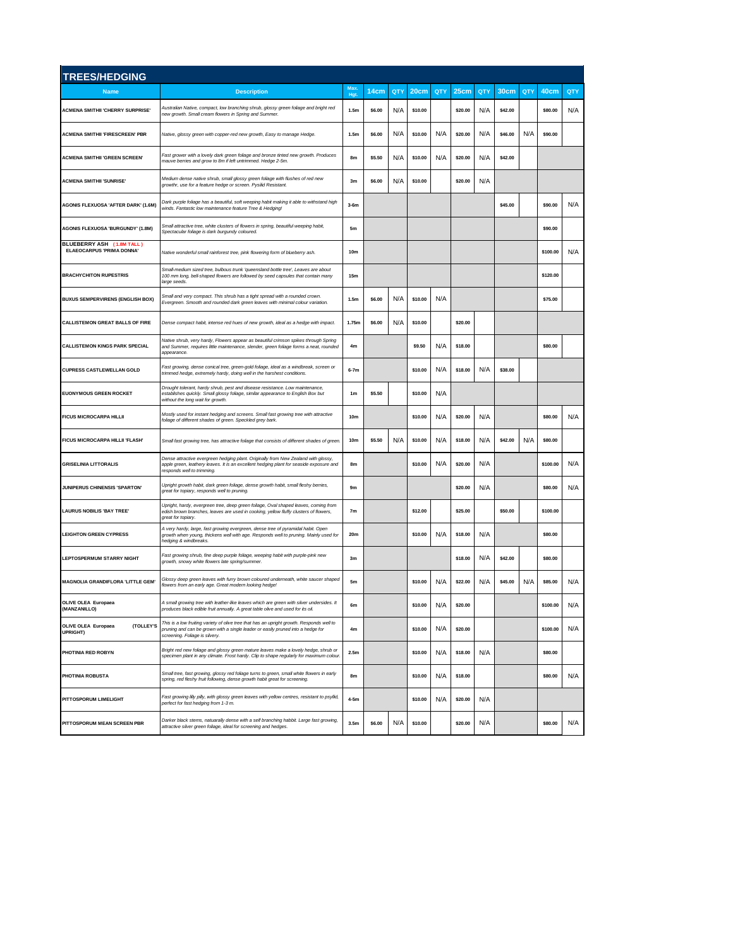| <b>TREES/HEDGING</b>                                          |                                                                                                                                                                                                                |                  |                                 |     |                |         |                |     |                 |         |          |     |
|---------------------------------------------------------------|----------------------------------------------------------------------------------------------------------------------------------------------------------------------------------------------------------------|------------------|---------------------------------|-----|----------------|---------|----------------|-----|-----------------|---------|----------|-----|
| <b>Name</b>                                                   | <b>Description</b>                                                                                                                                                                                             | Max<br>Hgt.      | 14cm                            | QTY | 20cm           | QTY     | 25cm           | QTY | 30cm            | QTY     | 40cm     | QTY |
| <b>ACMENA SMITHII 'CHERRY SURPRISE'</b>                       | Australian Native, compact, low branching shrub, glossy green foliage and bright red<br>new growth. Small cream flowers in Spring and Summer.                                                                  | 1.5m             | \$6.00                          | N/A | \$10.00        |         | \$20.00        | N/A | \$42.00         |         | \$80.00  | N/A |
| <b>ACMENA SMITHII 'FIRESCREEN' PBR</b>                        | Native, glossy green with copper-red new growth, Easy to manage Hedge.                                                                                                                                         | 1.5m             | \$6.00                          | N/A | \$10.00        | N/A     | \$20.00        | N/A | \$46.00         | N/A     | \$90.00  |     |
| <b>ACMENA SMITHII 'GREEN SCREEN'</b>                          | Fast grower with a lovely dark green foliage and bronze tinted new growth. Produces<br>nauve berries and grow to 8m if left untrimmed. Hedge 2-5m.                                                             | 8m               | \$5.50                          | N/A | \$10.00        | N/A     | \$20.00        | N/A | \$42.00         |         |          |     |
| <b>ACMENA SMITHII 'SUNRISE'</b>                               | Medium dense native shrub, small glossy green foliage with flushes of red new<br>growthr, use for a feature hedge or screen. Pysilid Resistant.                                                                | 3m               | \$6.00<br>N/A<br>\$10.00        |     | \$20.00        | N/A     |                |     |                 |         |          |     |
| <b>AGONIS FLEXUOSA 'AFTER DARK' (1.6M)</b>                    | Dark purple foliage has a beautiful, soft weeping habit making it able to withstand high<br>winds. Fantastic low maintenance feature Tree & Hedging!                                                           | $3-6m$           |                                 |     |                | \$45.00 |                |     | \$90.00         | N/A     |          |     |
| AGONIS FLEXUOSA 'BURGUNDY' (1.8M)                             | Small attractive tree, white clusters of flowers in spring, beautiful weeping habit,<br>Spectacular foliage is dark burgundy coloured.                                                                         | 5 <sub>m</sub>   |                                 |     |                |         |                |     | \$90.00         |         |          |     |
| BLUEBERRY ASH (1.8M TALL)<br><b>ELAEOCARPUS 'PRIMA DONNA'</b> | Native wonderful small rainforest tree, pink flowering form of blueberry ash.                                                                                                                                  | 10 <sub>m</sub>  |                                 |     |                |         |                |     | N/A<br>\$100.00 |         |          |     |
| <b>BRACHYCHITON RUPESTRIS</b>                                 | Small-medium sized tree, bulbous trunk 'queensland bottle tree', Leaves are about<br>100 mm long, bell-shaped flowers are followed by seed capsules that contain many<br>large seeds.                          | 15m              |                                 |     |                |         |                |     |                 |         | \$120.00 |     |
| <b>BUXUS SEMPERVIRENS (ENGLISH BOX)</b>                       | Small and very compact. This shrub has a tight spread with a rounded crown.<br>Evergreen. Smooth and rounded dark green leaves with minimal colour variation.                                                  | 1.5 <sub>m</sub> | N/A<br>N/A<br>\$6.00<br>\$10.00 |     |                |         |                |     | \$75.00         |         |          |     |
| <b>CALLISTEMON GREAT BALLS OF FIRE</b>                        | Dense compact habit, intense red hues of new growth, ideal as a hedge with impact.                                                                                                                             | 1.75m            | \$6.00                          | N/A | \$10.00        |         | \$20.00        |     |                 |         |          |     |
| <b>CALLISTEMON KINGS PARK SPECIAL</b>                         | Vative shrub, very hardy, Flowers appear as beautiful crimson spikes through Spring<br>and Summer, requires little maintenance, slender, green foliage forms a neat, rounded<br>appearance.                    | 4 <sub>m</sub>   | \$9.50                          |     | N/A            | \$18.00 |                |     |                 | \$80.00 |          |     |
| <b>CUPRESS CASTLEWELLAN GOLD</b>                              | Fast growing, dense conical tree, green-gold foliage, ideal as a windbreak, screen or<br>trimmed hedge, extremely hardy, doing well in the harshest conditions.                                                | $6-7m$           | \$10.00<br>N/A                  |     | \$18.00        | N/A     | \$38.00        |     |                 |         |          |     |
| <b>EUONYMOUS GREEN ROCKET</b>                                 | Drought tolerant, hardy shrub, pest and disease resistance. Low maintenance,<br>establishes quickly. Small glossy foliage, similar appearance to English Box but<br>without the long wait for growth.          | 1 <sub>m</sub>   | N/A<br>\$5.50<br>\$10.00        |     |                |         |                |     |                 |         |          |     |
| <b>FICUS MICROCARPA HILLII</b>                                | Mostly used for instant hedging and screens. Small fast growing tree with attractive<br>foliage of different shades of green. Speckled grey bark.                                                              | 10 <sub>m</sub>  |                                 |     | \$10.00        | N/A     | \$20.00        | N/A |                 |         | \$80.00  | N/A |
| <b>FICUS MICROCARPA HILLII 'FLASH'</b>                        | Small fast growing tree, has attractive foliage that consists of different shades of green                                                                                                                     | 10 <sub>m</sub>  | \$5.50                          | N/A | \$10.00        | N/A     | \$18.00        | N/A | \$42.00         | N/A     | \$80.00  |     |
| <b>GRISELINIA LITTORALIS</b>                                  | Dense attractive evergreen hedging plant. Originally from New Zealand with glossy,<br>apple green, leathery leaves. It is an excellent hedging plant for seaside exposure and<br>responds well to trimming.    | 8m               |                                 |     | \$10.00        | N/A     | N/A<br>\$20.00 |     |                 |         | \$100.00 | N/A |
| <b>JUNIPERUS CHINENSIS 'SPARTON'</b>                          | Upright growth habit, dark green foliage, dense growth habit, small fleshy berries,<br>great for topiary, responds well to pruning.                                                                            | 9m               |                                 |     |                |         | N/A<br>\$20.00 |     |                 |         | \$80.00  | N/A |
| <b>LAURUS NOBILIS 'BAY TREE'</b>                              | Upright, hardy, evergreen tree, deep green foliage, Oval shaped leaves, coming from<br>edish brown branches, leaves are used in cooking, yellow fluffy clusters of flowers,<br>great for topiary.              | 7 <sub>m</sub>   |                                 |     | \$12.00        |         | \$25.00        |     | \$50.00         |         | \$100.00 |     |
| <b>LEIGHTON GREEN CYPRESS</b>                                 | A very hardy, large, fast growing evergreen, dense tree of pyramidal habit. Open<br>growth when young, thickens well with age. Responds well to pruning. Mainly used for<br>hedging & windbreaks.              | 20m              |                                 |     | \$10.00        | N/A     | \$18.00        | N/A |                 |         | \$80.00  |     |
| <b>LEPTOSPERMUM STARRY NIGHT</b>                              | Fast growing shrub, fine deep purple foliage, weeping habit with purple-pink new<br>growth, snowy white flowers late spring/summer.                                                                            | 3m               |                                 |     |                |         | \$18.00        | N/A | \$42.00         |         | \$80.00  |     |
| <b>MAGNOLIA GRANDIFLORA 'LITTLE GEM'</b>                      | Glossy deep green leaves with furry brown coloured underneath, white saucer shaped<br>flowers from an early age. Great modern looking hedge!                                                                   | 5m               |                                 |     | \$10.00        | N/A     | \$22.00        | N/A | \$45.00         | N/A     | \$85.00  | N/A |
| <b>IVE OLEA Furo</b><br>(MANZANILLO)                          | i srnali growing tree with leather-like leaves which are green with sliver unde<br>produces black edible fruit annually. A great table olive and used for its oil.                                             | 6m               |                                 |     | \$10.00<br>N/A |         | \$20.00        |     |                 |         | \$100.00 | N/A |
| OLIVE OLEA Europaea<br>(TOLLEY'S<br>UPRIGHT)                  | This is a low fruiting variety of olive tree that has an upright growth. Responds well to<br>pruning and can be grown with a single leader or easily pruned into a hedge for<br>screening. Foliage is silvery. | 4 <sub>m</sub>   |                                 |     | \$10.00        | N/A     | \$20.00        |     |                 |         | \$100.00 | N/A |
| PHOTINIA RED ROBYN                                            | Bright red new follage and glossy green mature leaves make a lovely hedge, shrub or<br>specimen plant in any climate. Frost hardy. Clip to shape regularly for maximum colour.                                 | 2.5 <sub>m</sub> |                                 |     | \$10.00        | N/A     | \$18.00        | N/A |                 |         |          |     |
| PHOTINIA ROBUSTA                                              | Small tree, fast growing, glossy red foliage turns to green, small white flowers in early<br>spring, red fleshy fruit following, dense growth habit great for screening.                                       | 8m               |                                 |     | \$10.00        | N/A     | \$18.00        |     |                 |         | \$80.00  | N/A |
| PITTOSPORUM LIMELIGHT                                         | Fast growing lilly pilly, with glossy green leaves with yellow centres, resistant to psyllid,<br>perfect for fast hedging from 1-3 m.                                                                          | 4-5m             |                                 |     | \$10.00        | N/A     | \$20.00        | N/A |                 |         |          |     |
| PITTOSPORUM MEAN SCREEN PBR                                   | Darker black stems, natuarally dense with a self branching habbit. Large fast growing,<br>attractive silver green foliage, ideal for screening and hedges.                                                     | 3.5 <sub>m</sub> | \$6.00                          | N/A | \$10.00        |         | \$20.00        | N/A |                 |         | \$80.00  | N/A |